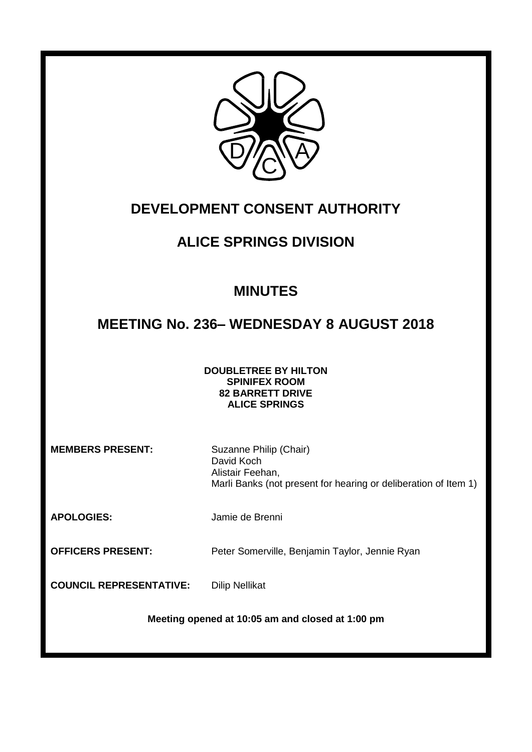

# **DEVELOPMENT CONSENT AUTHORITY**

# **ALICE SPRINGS DIVISION**

# **MINUTES**

# **MEETING No. 236– WEDNESDAY 8 AUGUST 2018**

## **DOUBLETREE BY HILTON SPINIFEX ROOM 82 BARRETT DRIVE ALICE SPRINGS**

**MEMBERS PRESENT:** Suzanne Philip (Chair)

David Koch Alistair Feehan, Marli Banks (not present for hearing or deliberation of Item 1)

**APOLOGIES:** Jamie de Brenni

**OFFICERS PRESENT:** Peter Somerville, Benjamin Taylor, Jennie Ryan

**COUNCIL REPRESENTATIVE:** Dilip Nellikat

**Meeting opened at 10:05 am and closed at 1:00 pm**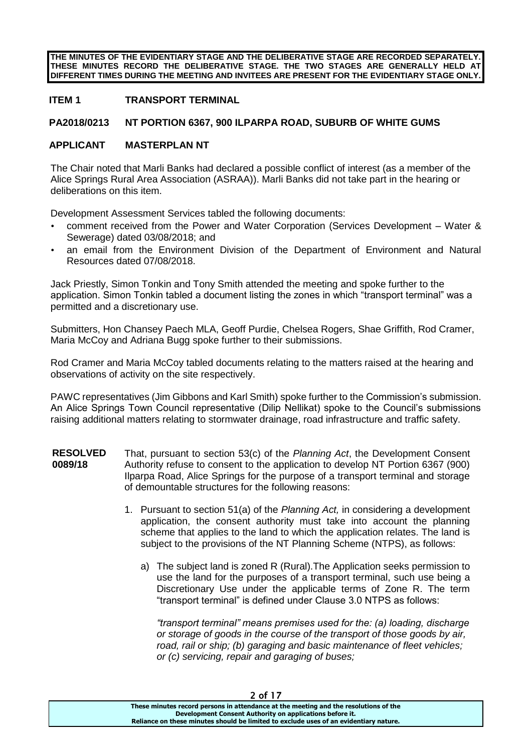**THE MINUTES OF THE EVIDENTIARY STAGE AND THE DELIBERATIVE STAGE ARE RECORDED SEPARATELY. THESE MINUTES RECORD THE DELIBERATIVE STAGE. THE TWO STAGES ARE GENERALLY HELD AT DIFFERENT TIMES DURING THE MEETING AND INVITEES ARE PRESENT FOR THE EVIDENTIARY STAGE ONLY.**

## **ITEM 1 TRANSPORT TERMINAL**

#### **PA2018/0213 NT PORTION 6367, 900 ILPARPA ROAD, SUBURB OF WHITE GUMS**

#### **APPLICANT MASTERPLAN NT**

The Chair noted that Marli Banks had declared a possible conflict of interest (as a member of the Alice Springs Rural Area Association (ASRAA)). Marli Banks did not take part in the hearing or deliberations on this item.

Development Assessment Services tabled the following documents:

- comment received from the Power and Water Corporation (Services Development Water & Sewerage) dated 03/08/2018; and
- an email from the Environment Division of the Department of Environment and Natural Resources dated 07/08/2018.

Jack Priestly, Simon Tonkin and Tony Smith attended the meeting and spoke further to the application. Simon Tonkin tabled a document listing the zones in which "transport terminal" was a permitted and a discretionary use.

Submitters, Hon Chansey Paech MLA, Geoff Purdie, Chelsea Rogers, Shae Griffith, Rod Cramer, Maria McCoy and Adriana Bugg spoke further to their submissions.

Rod Cramer and Maria McCoy tabled documents relating to the matters raised at the hearing and observations of activity on the site respectively.

PAWC representatives (Jim Gibbons and Karl Smith) spoke further to the Commission's submission. An Alice Springs Town Council representative (Dilip Nellikat) spoke to the Council's submissions raising additional matters relating to stormwater drainage, road infrastructure and traffic safety.

- **RESOLVED 0089/18** That, pursuant to section 53(c) of the *Planning Act*, the Development Consent Authority refuse to consent to the application to develop NT Portion 6367 (900) Ilparpa Road, Alice Springs for the purpose of a transport terminal and storage of demountable structures for the following reasons:
	- 1. Pursuant to section 51(a) of the *Planning Act,* in considering a development application, the consent authority must take into account the planning scheme that applies to the land to which the application relates. The land is subject to the provisions of the NT Planning Scheme (NTPS), as follows:
		- a) The subject land is zoned R (Rural).The Application seeks permission to use the land for the purposes of a transport terminal, such use being a Discretionary Use under the applicable terms of Zone R. The term "transport terminal" is defined under Clause 3.0 NTPS as follows:

*"transport terminal" means premises used for the: (a) loading, discharge or storage of goods in the course of the transport of those goods by air, road, rail or ship; (b) garaging and basic maintenance of fleet vehicles; or (c) servicing, repair and garaging of buses;*

2 of 17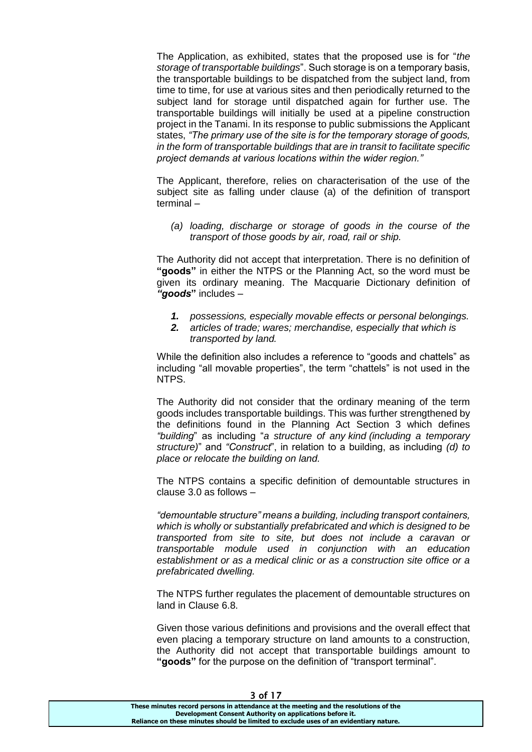The Application, as exhibited, states that the proposed use is for "*the storage of transportable buildings*". Such storage is on a temporary basis, the transportable buildings to be dispatched from the subject land, from time to time, for use at various sites and then periodically returned to the subject land for storage until dispatched again for further use. The transportable buildings will initially be used at a pipeline construction project in the Tanami. In its response to public submissions the Applicant states, *"The primary use of the site is for the temporary storage of goods, in the form of transportable buildings that are in transit to facilitate specific project demands at various locations within the wider region."*

The Applicant, therefore, relies on characterisation of the use of the subject site as falling under clause (a) of the definition of transport terminal –

*(a) loading, discharge or storage of goods in the course of the transport of those goods by air, road, rail or ship.*

The Authority did not accept that interpretation. There is no definition of **"goods"** in either the NTPS or the Planning Act, so the word must be given its ordinary meaning. The Macquarie Dictionary definition of *"goods***"** includes –

- *1. possessions, especially movable effects or personal belongings.*
- *2. articles of trade; wares; merchandise, especially that which is transported by land.*

While the definition also includes a reference to "goods and chattels" as including "all movable properties", the term "chattels" is not used in the NTPS.

The Authority did not consider that the ordinary meaning of the term goods includes transportable buildings. This was further strengthened by the definitions found in the Planning Act Section 3 which defines *"building*" as including "*a structure of any kind (including a temporary structure)*" and *"Construct*", in relation to a building, as including *(d) to place or relocate the building on land.*

The NTPS contains a specific definition of demountable structures in clause 3.0 as follows –

*"demountable structure" means a building, including transport containers, which is wholly or substantially prefabricated and which is designed to be transported from site to site, but does not include a caravan or transportable module used in conjunction with an education establishment or as a medical clinic or as a construction site office or a prefabricated dwelling.*

The NTPS further regulates the placement of demountable structures on land in Clause 6.8.

Given those various definitions and provisions and the overall effect that even placing a temporary structure on land amounts to a construction, the Authority did not accept that transportable buildings amount to **"goods"** for the purpose on the definition of "transport terminal".

| - - - -                                                                               |  |
|---------------------------------------------------------------------------------------|--|
| These minutes record persons in attendance at the meeting and the resolutions of the  |  |
| Development Consent Authority on applications before it.                              |  |
| Reliance on these minutes should be limited to exclude uses of an evidentiary nature. |  |
|                                                                                       |  |

3 of 17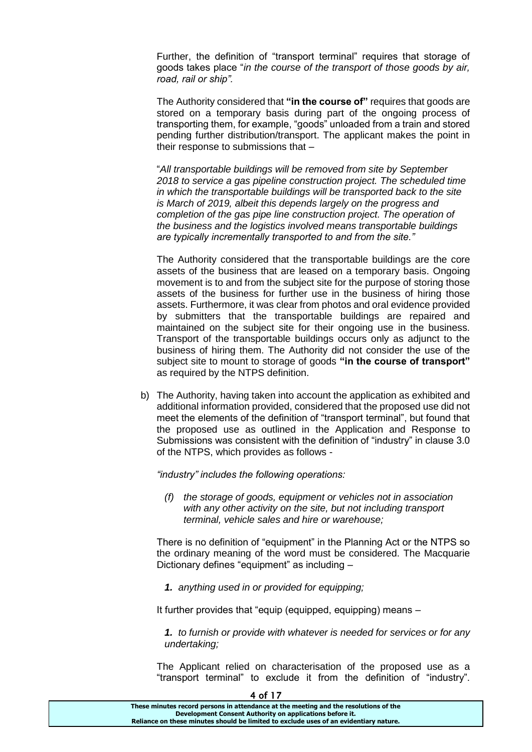Further, the definition of "transport terminal" requires that storage of goods takes place "*in the course of the transport of those goods by air, road, rail or ship".*

The Authority considered that **"in the course of"** requires that goods are stored on a temporary basis during part of the ongoing process of transporting them, for example, "goods" unloaded from a train and stored pending further distribution/transport. The applicant makes the point in their response to submissions that –

"*All transportable buildings will be removed from site by September 2018 to service a gas pipeline construction project. The scheduled time in which the transportable buildings will be transported back to the site is March of 2019, albeit this depends largely on the progress and completion of the gas pipe line construction project. The operation of the business and the logistics involved means transportable buildings are typically incrementally transported to and from the site."*

The Authority considered that the transportable buildings are the core assets of the business that are leased on a temporary basis. Ongoing movement is to and from the subject site for the purpose of storing those assets of the business for further use in the business of hiring those assets. Furthermore, it was clear from photos and oral evidence provided by submitters that the transportable buildings are repaired and maintained on the subject site for their ongoing use in the business. Transport of the transportable buildings occurs only as adjunct to the business of hiring them. The Authority did not consider the use of the subject site to mount to storage of goods **"in the course of transport"** as required by the NTPS definition.

b) The Authority, having taken into account the application as exhibited and additional information provided, considered that the proposed use did not meet the elements of the definition of "transport terminal", but found that the proposed use as outlined in the Application and Response to Submissions was consistent with the definition of "industry" in clause 3.0 of the NTPS, which provides as follows -

*"industry" includes the following operations:* 

*(f) the storage of goods, equipment or vehicles not in association with any other activity on the site, but not including transport terminal, vehicle sales and hire or warehouse;* 

There is no definition of "equipment" in the Planning Act or the NTPS so the ordinary meaning of the word must be considered. The Macquarie Dictionary defines "equipment" as including –

*1. anything used in or provided for equipping;*

It further provides that "equip (equipped, equipping) means –

*1. to furnish or provide with whatever is needed for services or for any undertaking;*

The Applicant relied on characterisation of the proposed use as a "transport terminal" to exclude it from the definition of "industry".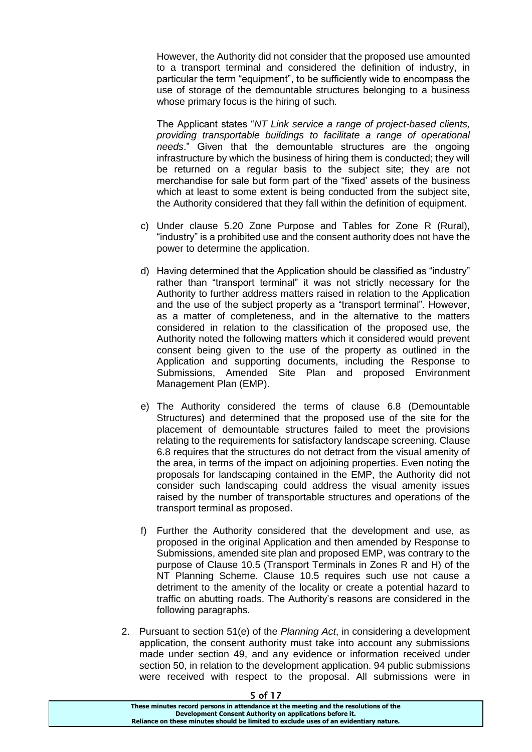However, the Authority did not consider that the proposed use amounted to a transport terminal and considered the definition of industry, in particular the term "equipment", to be sufficiently wide to encompass the use of storage of the demountable structures belonging to a business whose primary focus is the hiring of such.

The Applicant states "*NT Link service a range of project-based clients, providing transportable buildings to facilitate a range of operational needs*." Given that the demountable structures are the ongoing infrastructure by which the business of hiring them is conducted; they will be returned on a regular basis to the subject site; they are not merchandise for sale but form part of the "fixed' assets of the business which at least to some extent is being conducted from the subject site, the Authority considered that they fall within the definition of equipment.

- c) Under clause 5.20 Zone Purpose and Tables for Zone R (Rural), "industry" is a prohibited use and the consent authority does not have the power to determine the application.
- d) Having determined that the Application should be classified as "industry" rather than "transport terminal" it was not strictly necessary for the Authority to further address matters raised in relation to the Application and the use of the subject property as a "transport terminal". However, as a matter of completeness, and in the alternative to the matters considered in relation to the classification of the proposed use, the Authority noted the following matters which it considered would prevent consent being given to the use of the property as outlined in the Application and supporting documents, including the Response to Submissions, Amended Site Plan and proposed Environment Management Plan (EMP).
- e) The Authority considered the terms of clause 6.8 (Demountable Structures) and determined that the proposed use of the site for the placement of demountable structures failed to meet the provisions relating to the requirements for satisfactory landscape screening. Clause 6.8 requires that the structures do not detract from the visual amenity of the area, in terms of the impact on adjoining properties. Even noting the proposals for landscaping contained in the EMP, the Authority did not consider such landscaping could address the visual amenity issues raised by the number of transportable structures and operations of the transport terminal as proposed.
- f) Further the Authority considered that the development and use, as proposed in the original Application and then amended by Response to Submissions, amended site plan and proposed EMP, was contrary to the purpose of Clause 10.5 (Transport Terminals in Zones R and H) of the NT Planning Scheme. Clause 10.5 requires such use not cause a detriment to the amenity of the locality or create a potential hazard to traffic on abutting roads. The Authority's reasons are considered in the following paragraphs.
- 2. Pursuant to section 51(e) of the *Planning Act*, in considering a development application, the consent authority must take into account any submissions made under section 49, and any evidence or information received under section 50, in relation to the development application. 94 public submissions were received with respect to the proposal. All submissions were in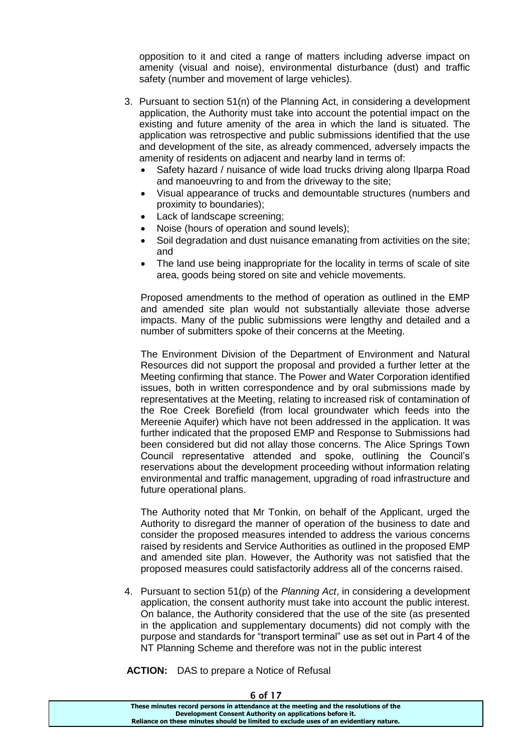opposition to it and cited a range of matters including adverse impact on amenity (visual and noise), environmental disturbance (dust) and traffic safety (number and movement of large vehicles).

- 3. Pursuant to section 51(n) of the Planning Act, in considering a development application, the Authority must take into account the potential impact on the existing and future amenity of the area in which the land is situated. The application was retrospective and public submissions identified that the use and development of the site, as already commenced, adversely impacts the amenity of residents on adjacent and nearby land in terms of:
	- Safety hazard / nuisance of wide load trucks driving along Ilparpa Road and manoeuvring to and from the driveway to the site;
	- Visual appearance of trucks and demountable structures (numbers and proximity to boundaries);
	- Lack of landscape screening;
	- Noise (hours of operation and sound levels);
	- Soil degradation and dust nuisance emanating from activities on the site; and
	- The land use being inappropriate for the locality in terms of scale of site area, goods being stored on site and vehicle movements.

Proposed amendments to the method of operation as outlined in the EMP and amended site plan would not substantially alleviate those adverse impacts. Many of the public submissions were lengthy and detailed and a number of submitters spoke of their concerns at the Meeting.

The Environment Division of the Department of Environment and Natural Resources did not support the proposal and provided a further letter at the Meeting confirming that stance. The Power and Water Corporation identified issues, both in written correspondence and by oral submissions made by representatives at the Meeting, relating to increased risk of contamination of the Roe Creek Borefield (from local groundwater which feeds into the Mereenie Aquifer) which have not been addressed in the application. It was further indicated that the proposed EMP and Response to Submissions had been considered but did not allay those concerns. The Alice Springs Town Council representative attended and spoke, outlining the Council's reservations about the development proceeding without information relating environmental and traffic management, upgrading of road infrastructure and future operational plans.

The Authority noted that Mr Tonkin, on behalf of the Applicant, urged the Authority to disregard the manner of operation of the business to date and consider the proposed measures intended to address the various concerns raised by residents and Service Authorities as outlined in the proposed EMP and amended site plan. However, the Authority was not satisfied that the proposed measures could satisfactorily address all of the concerns raised.

4. Pursuant to section 51(p) of the *Planning Act*, in considering a development application, the consent authority must take into account the public interest. On balance, the Authority considered that the use of the site (as presented in the application and supplementary documents) did not comply with the purpose and standards for "transport terminal" use as set out in Part 4 of the NT Planning Scheme and therefore was not in the public interest

**ACTION:** DAS to prepare a Notice of Refusal

| 0 U I <i>I I</i>                                                                      |  |
|---------------------------------------------------------------------------------------|--|
| These minutes record persons in attendance at the meeting and the resolutions of the  |  |
| Development Consent Authority on applications before it.                              |  |
| Reliance on these minutes should be limited to exclude uses of an evidentiary nature. |  |
|                                                                                       |  |

 $6.617$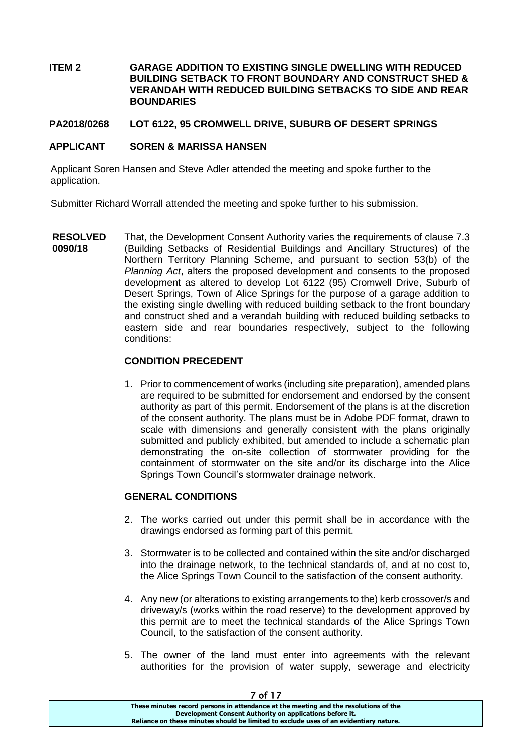## **ITEM 2 GARAGE ADDITION TO EXISTING SINGLE DWELLING WITH REDUCED BUILDING SETBACK TO FRONT BOUNDARY AND CONSTRUCT SHED & VERANDAH WITH REDUCED BUILDING SETBACKS TO SIDE AND REAR BOUNDARIES**

## **PA2018/0268 LOT 6122, 95 CROMWELL DRIVE, SUBURB OF DESERT SPRINGS**

#### **APPLICANT SOREN & MARISSA HANSEN**

Applicant Soren Hansen and Steve Adler attended the meeting and spoke further to the application.

Submitter Richard Worrall attended the meeting and spoke further to his submission.

**RESOLVED 0090/18** That, the Development Consent Authority varies the requirements of clause 7.3 (Building Setbacks of Residential Buildings and Ancillary Structures) of the Northern Territory Planning Scheme, and pursuant to section 53(b) of the *Planning Act*, alters the proposed development and consents to the proposed development as altered to develop Lot 6122 (95) Cromwell Drive, Suburb of Desert Springs, Town of Alice Springs for the purpose of a garage addition to the existing single dwelling with reduced building setback to the front boundary and construct shed and a verandah building with reduced building setbacks to eastern side and rear boundaries respectively, subject to the following conditions:

#### **CONDITION PRECEDENT**

1. Prior to commencement of works (including site preparation), amended plans are required to be submitted for endorsement and endorsed by the consent authority as part of this permit. Endorsement of the plans is at the discretion of the consent authority. The plans must be in Adobe PDF format, drawn to scale with dimensions and generally consistent with the plans originally submitted and publicly exhibited, but amended to include a schematic plan demonstrating the on-site collection of stormwater providing for the containment of stormwater on the site and/or its discharge into the Alice Springs Town Council's stormwater drainage network.

#### **GENERAL CONDITIONS**

- 2. The works carried out under this permit shall be in accordance with the drawings endorsed as forming part of this permit.
- 3. Stormwater is to be collected and contained within the site and/or discharged into the drainage network, to the technical standards of, and at no cost to, the Alice Springs Town Council to the satisfaction of the consent authority.
- 4. Any new (or alterations to existing arrangements to the) kerb crossover/s and driveway/s (works within the road reserve) to the development approved by this permit are to meet the technical standards of the Alice Springs Town Council, to the satisfaction of the consent authority.
- 5. The owner of the land must enter into agreements with the relevant authorities for the provision of water supply, sewerage and electricity

| ' UI I /                                                                              |  |
|---------------------------------------------------------------------------------------|--|
| These minutes record persons in attendance at the meeting and the resolutions of the  |  |
| Development Consent Authority on applications before it.                              |  |
| Reliance on these minutes should be limited to exclude uses of an evidentiary nature. |  |
|                                                                                       |  |

#### $7.617$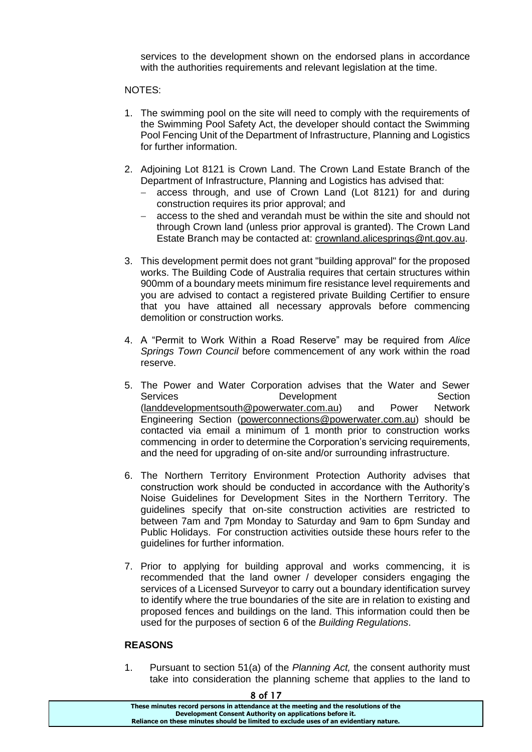services to the development shown on the endorsed plans in accordance with the authorities requirements and relevant legislation at the time.

#### NOTES:

- 1. The swimming pool on the site will need to comply with the requirements of the Swimming Pool Safety Act, the developer should contact the Swimming Pool Fencing Unit of the Department of Infrastructure, Planning and Logistics for further information.
- 2. Adjoining Lot 8121 is Crown Land. The Crown Land Estate Branch of the Department of Infrastructure, Planning and Logistics has advised that:
	- access through, and use of Crown Land (Lot 8121) for and during construction requires its prior approval; and
	- access to the shed and verandah must be within the site and should not through Crown land (unless prior approval is granted). The Crown Land Estate Branch may be contacted at: [crownland.alicesprings@nt.gov.au.](mailto:crownland.alicesprings@nt.gov.au)
- 3. This development permit does not grant "building approval" for the proposed works. The Building Code of Australia requires that certain structures within 900mm of a boundary meets minimum fire resistance level requirements and you are advised to contact a registered private Building Certifier to ensure that you have attained all necessary approvals before commencing demolition or construction works.
- 4. A "Permit to Work Within a Road Reserve" may be required from *Alice Springs Town Council* before commencement of any work within the road reserve.
- 5. The Power and Water Corporation advises that the Water and Sewer Services Development Section [\(landdevelopmentsouth@powerwater.com.au\)](mailto:landdevelopmentsouth@powerwater.com.au) and Power Network Engineering Section [\(powerconnections@powerwater.com.au\)](mailto:powerconnections@powerwater.com.au) should be contacted via email a minimum of 1 month prior to construction works commencing in order to determine the Corporation's servicing requirements, and the need for upgrading of on-site and/or surrounding infrastructure.
- 6. The Northern Territory Environment Protection Authority advises that construction work should be conducted in accordance with the Authority's Noise Guidelines for Development Sites in the Northern Territory. The guidelines specify that on-site construction activities are restricted to between 7am and 7pm Monday to Saturday and 9am to 6pm Sunday and Public Holidays. For construction activities outside these hours refer to the guidelines for further information.
- 7. Prior to applying for building approval and works commencing, it is recommended that the land owner / developer considers engaging the services of a Licensed Surveyor to carry out a boundary identification survey to identify where the true boundaries of the site are in relation to existing and proposed fences and buildings on the land. This information could then be used for the purposes of section 6 of the *Building Regulations*.

## **REASONS**

1. Pursuant to section 51(a) of the *Planning Act,* the consent authority must take into consideration the planning scheme that applies to the land to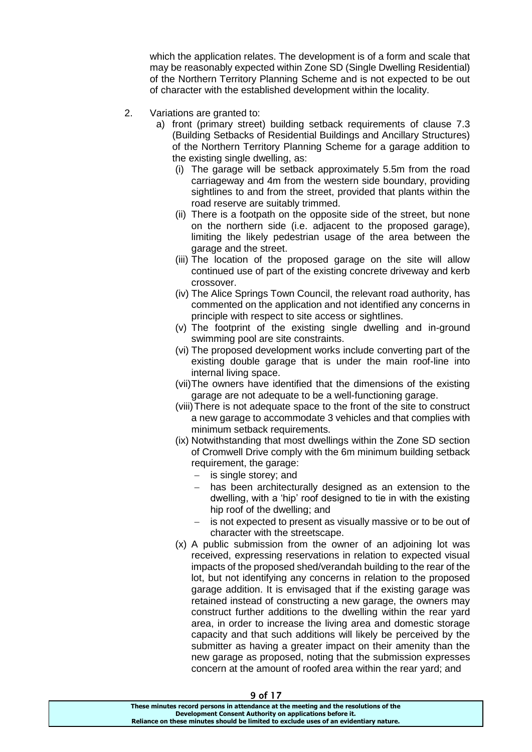which the application relates. The development is of a form and scale that may be reasonably expected within Zone SD (Single Dwelling Residential) of the Northern Territory Planning Scheme and is not expected to be out of character with the established development within the locality.

- 2. Variations are granted to:
	- a) front (primary street) building setback requirements of clause 7.3 (Building Setbacks of Residential Buildings and Ancillary Structures) of the Northern Territory Planning Scheme for a garage addition to the existing single dwelling, as:
		- (i) The garage will be setback approximately 5.5m from the road carriageway and 4m from the western side boundary, providing sightlines to and from the street, provided that plants within the road reserve are suitably trimmed.
		- (ii) There is a footpath on the opposite side of the street, but none on the northern side (i.e. adjacent to the proposed garage), limiting the likely pedestrian usage of the area between the garage and the street.
		- (iii) The location of the proposed garage on the site will allow continued use of part of the existing concrete driveway and kerb crossover.
		- (iv) The Alice Springs Town Council, the relevant road authority, has commented on the application and not identified any concerns in principle with respect to site access or sightlines.
		- (v) The footprint of the existing single dwelling and in-ground swimming pool are site constraints.
		- (vi) The proposed development works include converting part of the existing double garage that is under the main roof-line into internal living space.
		- (vii)The owners have identified that the dimensions of the existing garage are not adequate to be a well-functioning garage.
		- (viii)There is not adequate space to the front of the site to construct a new garage to accommodate 3 vehicles and that complies with minimum setback requirements.
		- (ix) Notwithstanding that most dwellings within the Zone SD section of Cromwell Drive comply with the 6m minimum building setback requirement, the garage:
			- $-$  is single storey; and
			- has been architecturally designed as an extension to the dwelling, with a 'hip' roof designed to tie in with the existing hip roof of the dwelling; and
			- is not expected to present as visually massive or to be out of character with the streetscape.
		- (x) A public submission from the owner of an adjoining lot was received, expressing reservations in relation to expected visual impacts of the proposed shed/verandah building to the rear of the lot, but not identifying any concerns in relation to the proposed garage addition. It is envisaged that if the existing garage was retained instead of constructing a new garage, the owners may construct further additions to the dwelling within the rear yard area, in order to increase the living area and domestic storage capacity and that such additions will likely be perceived by the submitter as having a greater impact on their amenity than the new garage as proposed, noting that the submission expresses concern at the amount of roofed area within the rear yard; and

**These minutes record persons in attendance at the meeting and the resolutions of the Development Consent Authority on applications before it. Reliance on these minutes should be limited to exclude uses of an evidentiary nature.**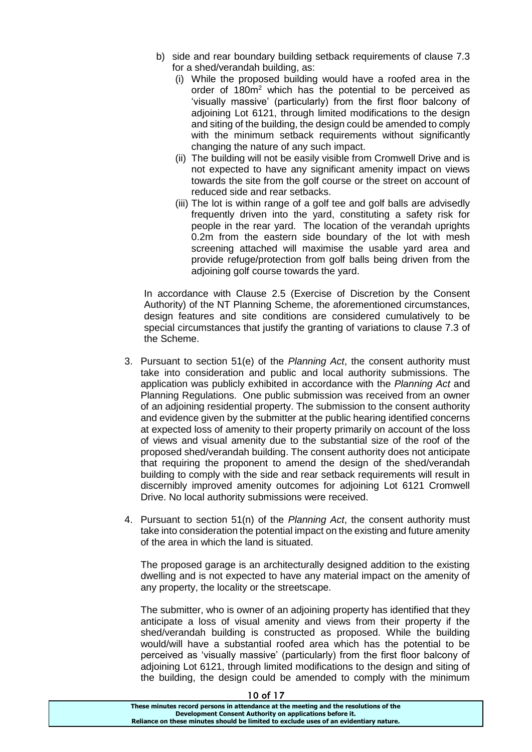- b) side and rear boundary building setback requirements of clause 7.3 for a shed/verandah building, as:
	- (i) While the proposed building would have a roofed area in the order of 180m<sup>2</sup> which has the potential to be perceived as 'visually massive' (particularly) from the first floor balcony of adjoining Lot 6121, through limited modifications to the design and siting of the building, the design could be amended to comply with the minimum setback requirements without significantly changing the nature of any such impact.
	- (ii) The building will not be easily visible from Cromwell Drive and is not expected to have any significant amenity impact on views towards the site from the golf course or the street on account of reduced side and rear setbacks.
	- (iii) The lot is within range of a golf tee and golf balls are advisedly frequently driven into the yard, constituting a safety risk for people in the rear yard. The location of the verandah uprights 0.2m from the eastern side boundary of the lot with mesh screening attached will maximise the usable yard area and provide refuge/protection from golf balls being driven from the adioining golf course towards the vard.

In accordance with Clause 2.5 (Exercise of Discretion by the Consent Authority) of the NT Planning Scheme, the aforementioned circumstances, design features and site conditions are considered cumulatively to be special circumstances that justify the granting of variations to clause 7.3 of the Scheme.

- 3. Pursuant to section 51(e) of the *Planning Act*, the consent authority must take into consideration and public and local authority submissions. The application was publicly exhibited in accordance with the *Planning Act* and Planning Regulations. One public submission was received from an owner of an adjoining residential property. The submission to the consent authority and evidence given by the submitter at the public hearing identified concerns at expected loss of amenity to their property primarily on account of the loss of views and visual amenity due to the substantial size of the roof of the proposed shed/verandah building. The consent authority does not anticipate that requiring the proponent to amend the design of the shed/verandah building to comply with the side and rear setback requirements will result in discernibly improved amenity outcomes for adjoining Lot 6121 Cromwell Drive. No local authority submissions were received.
- 4. Pursuant to section 51(n) of the *Planning Act*, the consent authority must take into consideration the potential impact on the existing and future amenity of the area in which the land is situated.

The proposed garage is an architecturally designed addition to the existing dwelling and is not expected to have any material impact on the amenity of any property, the locality or the streetscape.

The submitter, who is owner of an adjoining property has identified that they anticipate a loss of visual amenity and views from their property if the shed/verandah building is constructed as proposed. While the building would/will have a substantial roofed area which has the potential to be perceived as 'visually massive' (particularly) from the first floor balcony of adioining Lot 6121, through limited modifications to the design and siting of the building, the design could be amended to comply with the minimum

| 1 U O I 17                                                                            |
|---------------------------------------------------------------------------------------|
| These minutes record persons in attendance at the meeting and the resolutions of the  |
| Development Consent Authority on applications before it.                              |
| Reliance on these minutes should be limited to exclude uses of an evidentiary nature. |
|                                                                                       |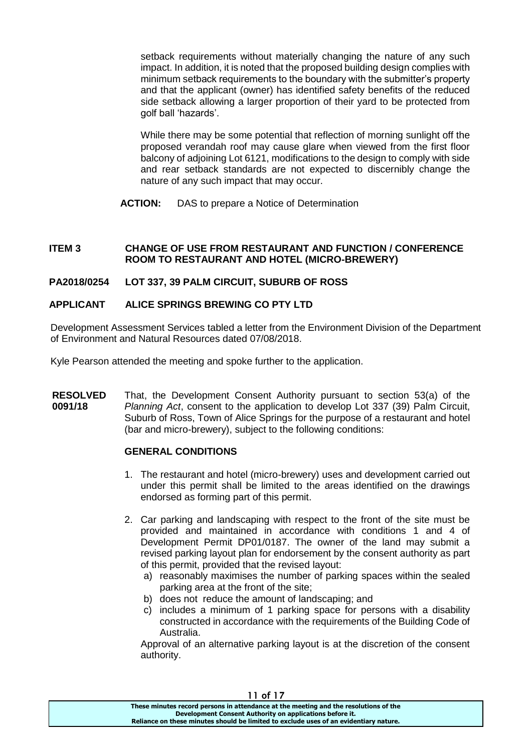setback requirements without materially changing the nature of any such impact. In addition, it is noted that the proposed building design complies with minimum setback requirements to the boundary with the submitter's property and that the applicant (owner) has identified safety benefits of the reduced side setback allowing a larger proportion of their yard to be protected from golf ball 'hazards'.

While there may be some potential that reflection of morning sunlight off the proposed verandah roof may cause glare when viewed from the first floor balcony of adjoining Lot 6121, modifications to the design to comply with side and rear setback standards are not expected to discernibly change the nature of any such impact that may occur.

**ACTION:** DAS to prepare a Notice of Determination

## **ITEM 3 CHANGE OF USE FROM RESTAURANT AND FUNCTION / CONFERENCE ROOM TO RESTAURANT AND HOTEL (MICRO-BREWERY)**

# **PA2018/0254 LOT 337, 39 PALM CIRCUIT, SUBURB OF ROSS**

# **APPLICANT ALICE SPRINGS BREWING CO PTY LTD**

Development Assessment Services tabled a letter from the Environment Division of the Department of Environment and Natural Resources dated 07/08/2018.

Kyle Pearson attended the meeting and spoke further to the application.

**RESOLVED 0091/18** That, the Development Consent Authority pursuant to section 53(a) of the *Planning Act*, consent to the application to develop Lot 337 (39) Palm Circuit, Suburb of Ross, Town of Alice Springs for the purpose of a restaurant and hotel (bar and micro-brewery), subject to the following conditions:

## **GENERAL CONDITIONS**

- 1. The restaurant and hotel (micro-brewery) uses and development carried out under this permit shall be limited to the areas identified on the drawings endorsed as forming part of this permit.
- 2. Car parking and landscaping with respect to the front of the site must be provided and maintained in accordance with conditions 1 and 4 of Development Permit DP01/0187. The owner of the land may submit a revised parking layout plan for endorsement by the consent authority as part of this permit, provided that the revised layout:
	- a) reasonably maximises the number of parking spaces within the sealed parking area at the front of the site;
	- b) does not reduce the amount of landscaping; and
	- c) includes a minimum of 1 parking space for persons with a disability constructed in accordance with the requirements of the Building Code of Australia.

Approval of an alternative parking layout is at the discretion of the consent authority.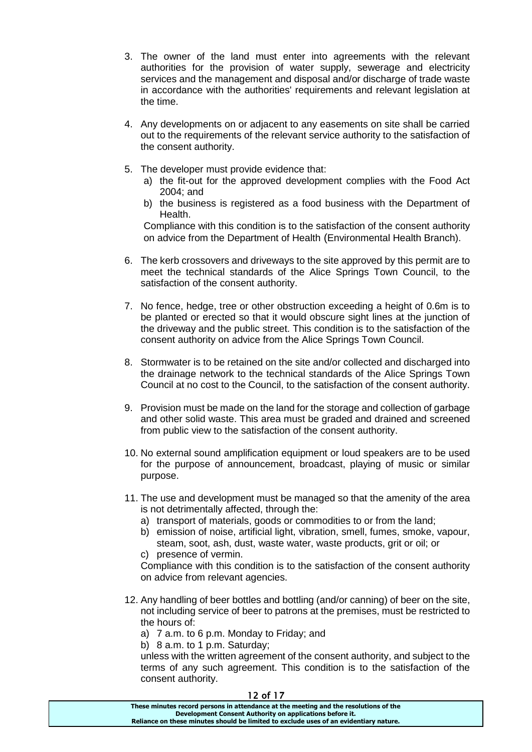- 3. The owner of the land must enter into agreements with the relevant authorities for the provision of water supply, sewerage and electricity services and the management and disposal and/or discharge of trade waste in accordance with the authorities' requirements and relevant legislation at the time.
- 4. Any developments on or adjacent to any easements on site shall be carried out to the requirements of the relevant service authority to the satisfaction of the consent authority.
- 5. The developer must provide evidence that:
	- a) the fit-out for the approved development complies with the Food Act 2004; and
	- b) the business is registered as a food business with the Department of Health.

Compliance with this condition is to the satisfaction of the consent authority on advice from the Department of Health (Environmental Health Branch).

- 6. The kerb crossovers and driveways to the site approved by this permit are to meet the technical standards of the Alice Springs Town Council, to the satisfaction of the consent authority.
- 7. No fence, hedge, tree or other obstruction exceeding a height of 0.6m is to be planted or erected so that it would obscure sight lines at the junction of the driveway and the public street. This condition is to the satisfaction of the consent authority on advice from the Alice Springs Town Council.
- 8. Stormwater is to be retained on the site and/or collected and discharged into the drainage network to the technical standards of the Alice Springs Town Council at no cost to the Council, to the satisfaction of the consent authority.
- 9. Provision must be made on the land for the storage and collection of garbage and other solid waste. This area must be graded and drained and screened from public view to the satisfaction of the consent authority.
- 10. No external sound amplification equipment or loud speakers are to be used for the purpose of announcement, broadcast, playing of music or similar purpose.
- 11. The use and development must be managed so that the amenity of the area is not detrimentally affected, through the:
	- a) transport of materials, goods or commodities to or from the land;
	- b) emission of noise, artificial light, vibration, smell, fumes, smoke, vapour, steam, soot, ash, dust, waste water, waste products, grit or oil; or
	- c) presence of vermin.

Compliance with this condition is to the satisfaction of the consent authority on advice from relevant agencies.

- 12. Any handling of beer bottles and bottling (and/or canning) of beer on the site, not including service of beer to patrons at the premises, must be restricted to the hours of:
	- a) 7 a.m. to 6 p.m. Monday to Friday; and

b) 8 a.m. to 1 p.m. Saturday;

unless with the written agreement of the consent authority, and subject to the terms of any such agreement. This condition is to the satisfaction of the consent authority.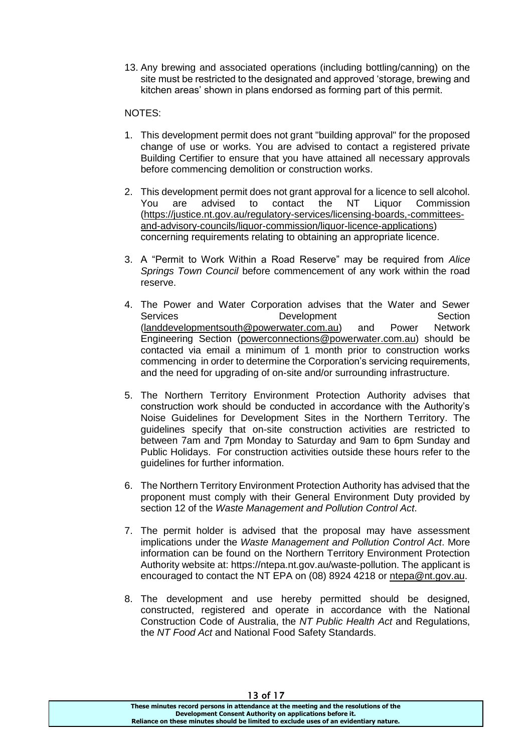13. Any brewing and associated operations (including bottling/canning) on the site must be restricted to the designated and approved 'storage, brewing and kitchen areas' shown in plans endorsed as forming part of this permit.

## NOTES:

- 1. This development permit does not grant "building approval" for the proposed change of use or works. You are advised to contact a registered private Building Certifier to ensure that you have attained all necessary approvals before commencing demolition or construction works.
- 2. This development permit does not grant approval for a licence to sell alcohol. You are advised to contact the NT Liquor Commission [\(https://justice.nt.gov.au/regulatory-services/licensing-boards,-committees](https://justice.nt.gov.au/regulatory-services/licensing-boards,-committees-and-advisory-councils/liquor-commission/liquor-licence-applications)[and-advisory-councils/liquor-commission/liquor-licence-applications\)](https://justice.nt.gov.au/regulatory-services/licensing-boards,-committees-and-advisory-councils/liquor-commission/liquor-licence-applications) concerning requirements relating to obtaining an appropriate licence.
- 3. A "Permit to Work Within a Road Reserve" may be required from *Alice Springs Town Council* before commencement of any work within the road reserve.
- 4. The Power and Water Corporation advises that the Water and Sewer Services **Development** Section<br>(landdevelopmentsouth@powerwater.com.au) and Power Network [\(landdevelopmentsouth@powerwater.com.au\)](mailto:landdevelopmentsouth@powerwater.com.au) and Engineering Section [\(powerconnections@powerwater.com.au\)](mailto:powerconnections@powerwater.com.au) should be contacted via email a minimum of 1 month prior to construction works commencing in order to determine the Corporation's servicing requirements, and the need for upgrading of on-site and/or surrounding infrastructure.
- 5. The Northern Territory Environment Protection Authority advises that construction work should be conducted in accordance with the Authority's Noise Guidelines for Development Sites in the Northern Territory. The guidelines specify that on-site construction activities are restricted to between 7am and 7pm Monday to Saturday and 9am to 6pm Sunday and Public Holidays. For construction activities outside these hours refer to the guidelines for further information.
- 6. The Northern Territory Environment Protection Authority has advised that the proponent must comply with their General Environment Duty provided by section 12 of the *Waste Management and Pollution Control Act*.
- 7. The permit holder is advised that the proposal may have assessment implications under the *Waste Management and Pollution Control Act*. More information can be found on the Northern Territory Environment Protection Authority website at: https://ntepa.nt.gov.au/waste-pollution. The applicant is encouraged to contact the NT EPA on (08) 8924 4218 or [ntepa@nt.gov.au.](mailto:ntepa@nt.gov.au)
- 8. The development and use hereby permitted should be designed, constructed, registered and operate in accordance with the National Construction Code of Australia, the *NT Public Health Act* and Regulations, the *NT Food Act* and National Food Safety Standards.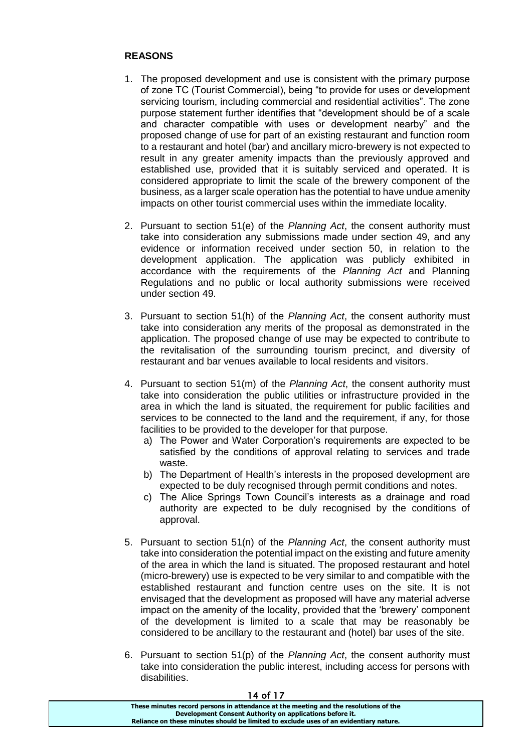## **REASONS**

- 1. The proposed development and use is consistent with the primary purpose of zone TC (Tourist Commercial), being "to provide for uses or development servicing tourism, including commercial and residential activities". The zone purpose statement further identifies that "development should be of a scale and character compatible with uses or development nearby" and the proposed change of use for part of an existing restaurant and function room to a restaurant and hotel (bar) and ancillary micro-brewery is not expected to result in any greater amenity impacts than the previously approved and established use, provided that it is suitably serviced and operated. It is considered appropriate to limit the scale of the brewery component of the business, as a larger scale operation has the potential to have undue amenity impacts on other tourist commercial uses within the immediate locality.
- 2. Pursuant to section 51(e) of the *Planning Act*, the consent authority must take into consideration any submissions made under section 49, and any evidence or information received under section 50, in relation to the development application. The application was publicly exhibited in accordance with the requirements of the *Planning Act* and Planning Regulations and no public or local authority submissions were received under section 49.
- 3. Pursuant to section 51(h) of the *Planning Act*, the consent authority must take into consideration any merits of the proposal as demonstrated in the application. The proposed change of use may be expected to contribute to the revitalisation of the surrounding tourism precinct, and diversity of restaurant and bar venues available to local residents and visitors.
- 4. Pursuant to section 51(m) of the *Planning Act*, the consent authority must take into consideration the public utilities or infrastructure provided in the area in which the land is situated, the requirement for public facilities and services to be connected to the land and the requirement, if any, for those facilities to be provided to the developer for that purpose.
	- a) The Power and Water Corporation's requirements are expected to be satisfied by the conditions of approval relating to services and trade waste.
	- b) The Department of Health's interests in the proposed development are expected to be duly recognised through permit conditions and notes.
	- c) The Alice Springs Town Council's interests as a drainage and road authority are expected to be duly recognised by the conditions of approval.
- 5. Pursuant to section 51(n) of the *Planning Act*, the consent authority must take into consideration the potential impact on the existing and future amenity of the area in which the land is situated. The proposed restaurant and hotel (micro-brewery) use is expected to be very similar to and compatible with the established restaurant and function centre uses on the site. It is not envisaged that the development as proposed will have any material adverse impact on the amenity of the locality, provided that the 'brewery' component of the development is limited to a scale that may be reasonably be considered to be ancillary to the restaurant and (hotel) bar uses of the site.
- 6. Pursuant to section 51(p) of the *Planning Act*, the consent authority must take into consideration the public interest, including access for persons with disabilities.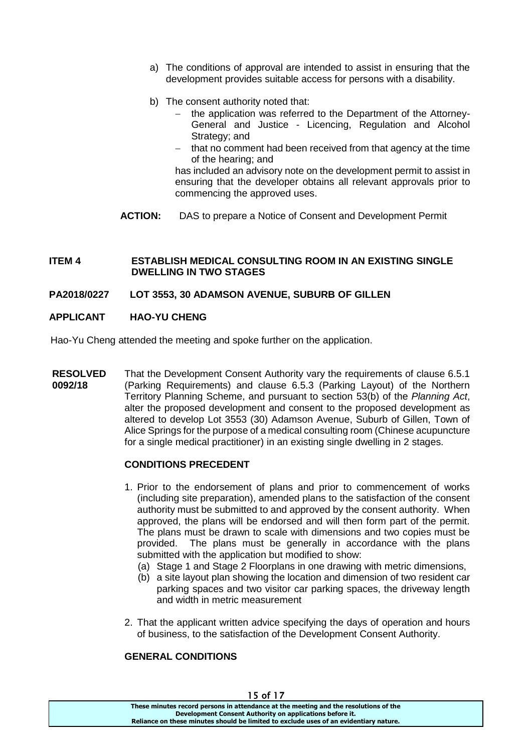- a) The conditions of approval are intended to assist in ensuring that the development provides suitable access for persons with a disability.
- b) The consent authority noted that:
	- the application was referred to the Department of the Attorney-General and Justice - Licencing, Regulation and Alcohol Strategy; and
	- that no comment had been received from that agency at the time of the hearing; and

has included an advisory note on the development permit to assist in ensuring that the developer obtains all relevant approvals prior to commencing the approved uses.

**ACTION:** DAS to prepare a Notice of Consent and Development Permit

#### **ITEM 4 ESTABLISH MEDICAL CONSULTING ROOM IN AN EXISTING SINGLE DWELLING IN TWO STAGES**

#### **PA2018/0227 LOT 3553, 30 ADAMSON AVENUE, SUBURB OF GILLEN**

## **APPLICANT HAO-YU CHENG**

Hao-Yu Cheng attended the meeting and spoke further on the application.

**RESOLVED 0092/18** That the Development Consent Authority vary the requirements of clause 6.5.1 (Parking Requirements) and clause 6.5.3 (Parking Layout) of the Northern Territory Planning Scheme, and pursuant to section 53(b) of the *Planning Act*, alter the proposed development and consent to the proposed development as altered to develop Lot 3553 (30) Adamson Avenue, Suburb of Gillen, Town of Alice Springs for the purpose of a medical consulting room (Chinese acupuncture for a single medical practitioner) in an existing single dwelling in 2 stages.

## **CONDITIONS PRECEDENT**

- 1. Prior to the endorsement of plans and prior to commencement of works (including site preparation), amended plans to the satisfaction of the consent authority must be submitted to and approved by the consent authority. When approved, the plans will be endorsed and will then form part of the permit. The plans must be drawn to scale with dimensions and two copies must be provided. The plans must be generally in accordance with the plans submitted with the application but modified to show:
	- (a) Stage 1 and Stage 2 Floorplans in one drawing with metric dimensions,
	- (b) a site layout plan showing the location and dimension of two resident car parking spaces and two visitor car parking spaces, the driveway length and width in metric measurement
- 2. That the applicant written advice specifying the days of operation and hours of business, to the satisfaction of the Development Consent Authority.

## **GENERAL CONDITIONS**

| 130117                                                                                |  |
|---------------------------------------------------------------------------------------|--|
| These minutes record persons in attendance at the meeting and the resolutions of the  |  |
| Development Consent Authority on applications before it.                              |  |
| Reliance on these minutes should be limited to exclude uses of an evidentiary nature. |  |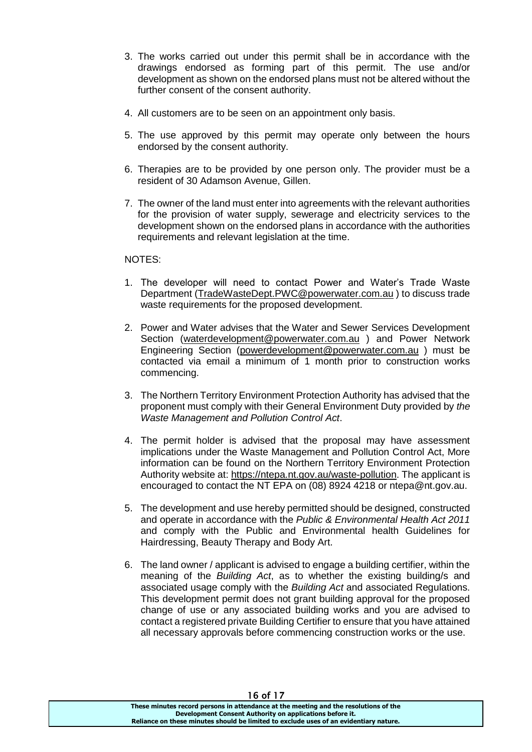- 3. The works carried out under this permit shall be in accordance with the drawings endorsed as forming part of this permit. The use and/or development as shown on the endorsed plans must not be altered without the further consent of the consent authority.
- 4. All customers are to be seen on an appointment only basis.
- 5. The use approved by this permit may operate only between the hours endorsed by the consent authority.
- 6. Therapies are to be provided by one person only. The provider must be a resident of 30 Adamson Avenue, Gillen.
- 7. The owner of the land must enter into agreements with the relevant authorities for the provision of water supply, sewerage and electricity services to the development shown on the endorsed plans in accordance with the authorities requirements and relevant legislation at the time.

## NOTES:

- 1. The developer will need to contact Power and Water's Trade Waste Department [\(TradeWasteDept.PWC@powerwater.com.au](mailto:TradeWasteDept.PWC@powerwater.com.au) ) to discuss trade waste requirements for the proposed development.
- 2. Power and Water advises that the Water and Sewer Services Development Section [\(waterdevelopment@powerwater.com.au](mailto:waterdevelopment@powerwater.com.au) ) and Power Network Engineering Section [\(powerdevelopment@powerwater.com.au](mailto:powerdevelopment@powerwater.com.au) ) must be contacted via email a minimum of 1 month prior to construction works commencing.
- 3. The Northern Territory Environment Protection Authority has advised that the proponent must comply with their General Environment Duty provided by *the Waste Management and Pollution Control Act*.
- 4. The permit holder is advised that the proposal may have assessment implications under the Waste Management and Pollution Control Act, More information can be found on the Northern Territory Environment Protection Authority website at: [https://ntepa.nt.gov.au/waste-pollution.](https://ntepa.nt.gov.au/waste-pollution) The applicant is encouraged to contact the NT EPA on (08) 8924 4218 or ntepa@nt.gov.au.
- 5. The development and use hereby permitted should be designed, constructed and operate in accordance with the *Public & Environmental Health Act 2011*  and comply with the Public and Environmental health Guidelines for Hairdressing, Beauty Therapy and Body Art.
- 6. The land owner / applicant is advised to engage a building certifier, within the meaning of the *Building Act*, as to whether the existing building/s and associated usage comply with the *Building Act* and associated Regulations. This development permit does not grant building approval for the proposed change of use or any associated building works and you are advised to contact a registered private Building Certifier to ensure that you have attained all necessary approvals before commencing construction works or the use.

16 of 17